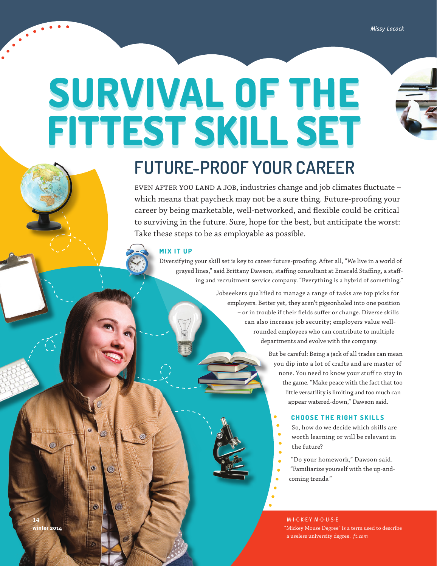# **SURVIVAL OF THE FITTEST SKILL SET**

# **FUTURE-PROOF YOUR CAREER**

even after you land a job, industries change and job climates fluctuate – which means that paycheck may not be a sure thing. Future-proofing your career by being marketable, well-networked, and flexible could be critical to surviving in the future. Sure, hope for the best, but anticipate the worst: Take these steps to be as employable as possible.

## **MIX IT UP**

Diversifying your skill set is key to career future-proofing. After all, "We live in a world of grayed lines," said Brittany Dawson, staffing consultant at Emerald Staffing, a staffing and recruitment service company. "Everything is a hybrid of something."

> Jobseekers qualified to manage a range of tasks are top picks for employers. Better yet, they aren't pigeonholed into one position – or in trouble if their fields suffer or change. Diverse skills can also increase job security; employers value wellrounded employees who can contribute to multiple departments and evolve with the company.

> > But be careful: Being a jack of all trades can mean you dip into a lot of crafts and are master of none. You need to know your stuff to stay in the game. "Make peace with the fact that too little versatility is limiting and too much can appear watered-down," Dawson said.

#### **CHOOSE THE RIGHT SKILLS**

So, how do we decide which skills are worth learning or will be relevant in the future?

"Do your homework," Dawson said.

"Familiarize yourself with the up-and-

coming trends."

M-I-C-K-E-Y M-O-U-S-E "Mickey Mouse Degree" is a term used to describe a useless university degree. *ft.com*

**14**